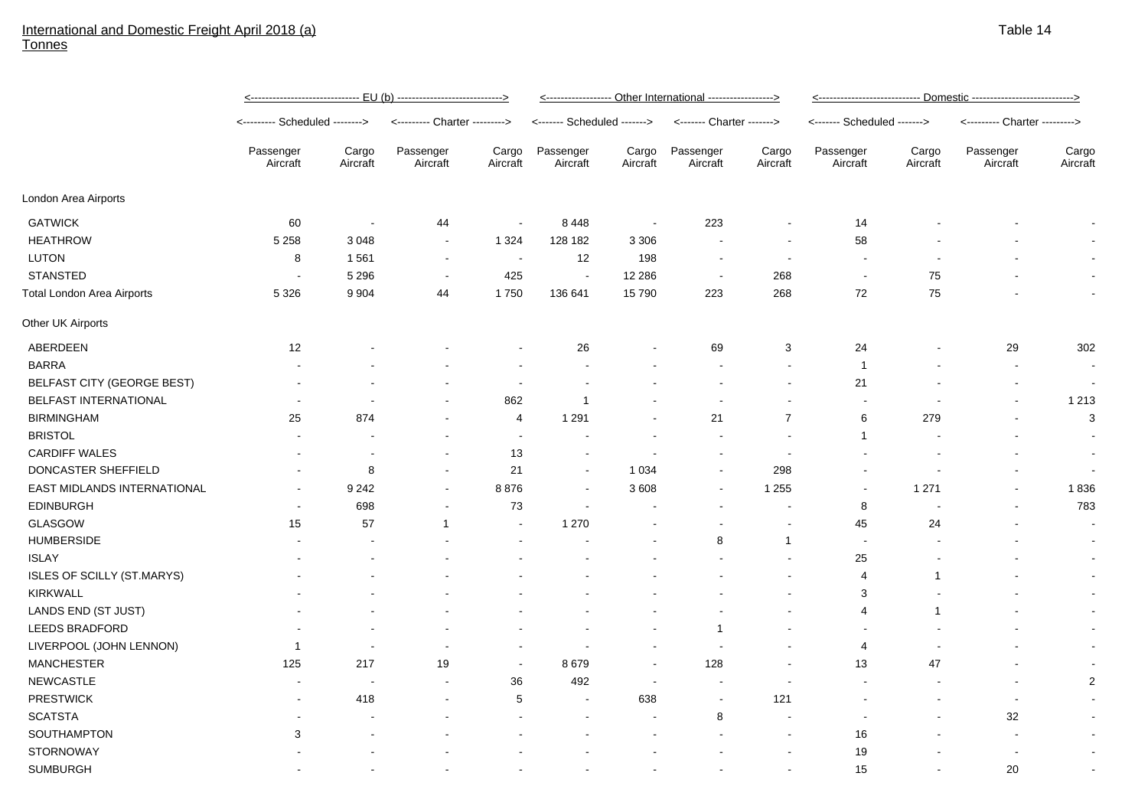## International and Domestic Freight April 2018 (a) **Tonnes**

|                                   | <u>&lt;----------------------------- EU (b) ---------------------------&gt;</u> |                          |                               |                          | <------------------ Other International -----------------> |                   |                           |                          | <u>&lt;---------------------------- Domestic ---------------------------&gt;</u> |                   |                               |                          |
|-----------------------------------|---------------------------------------------------------------------------------|--------------------------|-------------------------------|--------------------------|------------------------------------------------------------|-------------------|---------------------------|--------------------------|----------------------------------------------------------------------------------|-------------------|-------------------------------|--------------------------|
|                                   | <-------- Scheduled -------->                                                   |                          | <--------- Charter ---------> |                          | <------- Scheduled ------->                                |                   | <------- Charter -------> |                          | <------- Scheduled ------->                                                      |                   | <--------- Charter ---------> |                          |
|                                   | Passenger<br>Aircraft                                                           | Cargo<br>Aircraft        | Passenger<br>Aircraft         | Cargo<br>Aircraft        | Passenger<br>Aircraft                                      | Cargo<br>Aircraft | Passenger<br>Aircraft     | Cargo<br>Aircraft        | Passenger<br>Aircraft                                                            | Cargo<br>Aircraft | Passenger<br>Aircraft         | Cargo<br>Aircraft        |
| London Area Airports              |                                                                                 |                          |                               |                          |                                                            |                   |                           |                          |                                                                                  |                   |                               |                          |
| <b>GATWICK</b>                    | 60                                                                              | $\blacksquare$           | 44                            | $\sim$                   | 8448                                                       | $\sim$            | 223                       | $\blacksquare$           | 14                                                                               |                   |                               | $\overline{\phantom{a}}$ |
| <b>HEATHROW</b>                   | 5 2 5 8                                                                         | 3048                     | $\sim$                        | 1 3 2 4                  | 128 182                                                    | 3 3 0 6           |                           | $\overline{\phantom{a}}$ | 58                                                                               |                   |                               | $\overline{\phantom{a}}$ |
| <b>LUTON</b>                      | 8                                                                               | 1561                     | $\overline{\phantom{a}}$      | $\overline{\phantom{a}}$ | 12                                                         | 198               | $\overline{\phantom{a}}$  | $\overline{\phantom{a}}$ | $\blacksquare$                                                                   |                   |                               | $\sim$                   |
| <b>STANSTED</b>                   | $\overline{\phantom{a}}$                                                        | 5 2 9 6                  | $\blacksquare$                | 425                      | $\sim$                                                     | 12 2 8 6          | $\sim$                    | 268                      | $\overline{\phantom{a}}$                                                         | 75                |                               | $\sim$                   |
| <b>Total London Area Airports</b> | 5 3 2 6                                                                         | 9 9 0 4                  | 44                            | 1750                     | 136 641                                                    | 15790             | 223                       | 268                      | 72                                                                               | 75                |                               | $\sim$                   |
| Other UK Airports                 |                                                                                 |                          |                               |                          |                                                            |                   |                           |                          |                                                                                  |                   |                               |                          |
| ABERDEEN                          | 12                                                                              |                          |                               |                          | 26                                                         |                   | 69                        | 3                        | 24                                                                               |                   | 29                            | 302                      |
| <b>BARRA</b>                      |                                                                                 |                          |                               | $\overline{a}$           |                                                            |                   |                           | $\overline{\phantom{a}}$ | $\mathbf{1}$                                                                     |                   |                               | $\sim$                   |
| BELFAST CITY (GEORGE BEST)        |                                                                                 |                          |                               | $\overline{\phantom{a}}$ |                                                            |                   |                           | $\overline{\phantom{a}}$ | 21                                                                               |                   |                               |                          |
| <b>BELFAST INTERNATIONAL</b>      |                                                                                 | $\blacksquare$           |                               | 862                      | $\mathbf{1}$                                               |                   | $\blacksquare$            | $\blacksquare$           | $\blacksquare$                                                                   |                   |                               | 1 2 1 3                  |
| <b>BIRMINGHAM</b>                 | 25                                                                              | 874                      |                               | 4                        | 1 2 9 1                                                    |                   | 21                        | $\overline{7}$           | 6                                                                                | 279               |                               | $\mathbf{3}$             |
| <b>BRISTOL</b>                    |                                                                                 |                          |                               | $\overline{\phantom{a}}$ |                                                            |                   |                           | $\overline{\phantom{a}}$ | $\mathbf{1}$                                                                     |                   |                               |                          |
| <b>CARDIFF WALES</b>              |                                                                                 |                          | $\blacksquare$                | 13                       |                                                            |                   | $\overline{a}$            | $\overline{\phantom{a}}$ |                                                                                  |                   |                               | $\sim$                   |
| DONCASTER SHEFFIELD               |                                                                                 | 8                        | $\sim$                        | 21                       | $\sim$                                                     | 1 0 3 4           | $\blacksquare$            | 298                      |                                                                                  |                   |                               | $\sim$                   |
| EAST MIDLANDS INTERNATIONAL       |                                                                                 | 9 2 4 2                  | $\sim$                        | 8876                     | $\sim$                                                     | 3 6 0 8           | $\blacksquare$            | 1 2 5 5                  | $\blacksquare$                                                                   | 1 2 7 1           |                               | 1836                     |
| <b>EDINBURGH</b>                  |                                                                                 | 698                      |                               | 73                       |                                                            |                   |                           |                          | 8                                                                                |                   |                               | 783                      |
| <b>GLASGOW</b>                    | 15                                                                              | 57                       | $\mathbf{1}$                  | $\blacksquare$           | 1 2 7 0                                                    |                   |                           |                          | 45                                                                               | 24                |                               | $\sim$                   |
| <b>HUMBERSIDE</b>                 |                                                                                 |                          |                               |                          |                                                            |                   | 8                         | $\mathbf{1}$             | $\overline{\phantom{a}}$                                                         |                   |                               |                          |
| <b>ISLAY</b>                      |                                                                                 |                          |                               |                          |                                                            |                   |                           |                          | 25                                                                               |                   |                               | $\sim$                   |
| <b>ISLES OF SCILLY (ST.MARYS)</b> |                                                                                 |                          |                               |                          |                                                            |                   |                           |                          | 4                                                                                | 1                 |                               | $\sim$                   |
| <b>KIRKWALL</b>                   |                                                                                 |                          |                               |                          |                                                            |                   |                           |                          | 3                                                                                |                   |                               | $\sim$                   |
| LANDS END (ST JUST)               |                                                                                 |                          |                               |                          |                                                            |                   |                           |                          | 4                                                                                | 1                 |                               | $\sim$                   |
| <b>LEEDS BRADFORD</b>             |                                                                                 |                          |                               |                          |                                                            |                   | -1                        |                          | $\blacksquare$                                                                   |                   |                               | $\sim$                   |
| LIVERPOOL (JOHN LENNON)           | 1                                                                               | $\blacksquare$           |                               |                          |                                                            |                   |                           |                          | 4                                                                                |                   |                               | $\sim$                   |
| <b>MANCHESTER</b>                 | 125                                                                             | 217                      | 19                            | $\blacksquare$           | 8679                                                       |                   | 128                       |                          | 13                                                                               | 47                |                               | $\sim$                   |
| <b>NEWCASTLE</b>                  |                                                                                 | $\overline{\phantom{a}}$ |                               | 36                       | 492                                                        |                   | $\blacksquare$            | $\overline{\phantom{a}}$ | $\blacksquare$                                                                   |                   |                               | $\overline{2}$           |
| <b>PRESTWICK</b>                  |                                                                                 | 418                      |                               | 5                        |                                                            | 638               | $\blacksquare$            | 121                      |                                                                                  |                   | $\overline{\phantom{a}}$      | $\sim$                   |
| <b>SCATSTA</b>                    |                                                                                 |                          |                               |                          |                                                            |                   | 8                         | $\blacksquare$           | $\blacksquare$                                                                   |                   | 32                            | $\sim$                   |
| SOUTHAMPTON                       | 3                                                                               |                          |                               |                          |                                                            |                   |                           | $\overline{\phantom{a}}$ | 16                                                                               |                   |                               | $\sim$                   |
| <b>STORNOWAY</b>                  |                                                                                 |                          |                               |                          |                                                            |                   |                           |                          | 19                                                                               |                   |                               | $\sim$                   |
| <b>SUMBURGH</b>                   |                                                                                 |                          |                               |                          |                                                            |                   |                           |                          | 15                                                                               |                   | 20                            |                          |